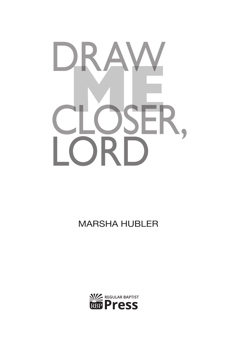

### **MARSHA HUBLER**

# $\parallel$  )  $\parallel$ 下 R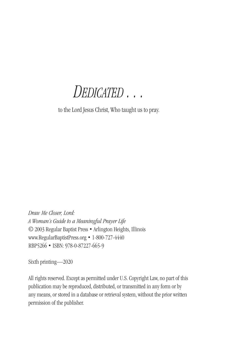*Dedicated . . .*

to the Lord Jesus Christ, Who taught us to pray.

*Draw Me Closer, Lord: A Woman's Guide to a Meaningful Prayer Life* © 2003 Regular Baptist Press • Arlington Heights, Illinois www.RegularBaptistPress.org • 1-800-727-4440 RBP5266 • ISBN: 978-0-87227-665-9

Sixth printing—2020

All rights reserved. Except as permitted under U.S. Copyright Law, no part of this publication may be reproduced, distributed, or transmitted in any form or by any means, or stored in a database or retrieval system, without the prior written permission of the publisher.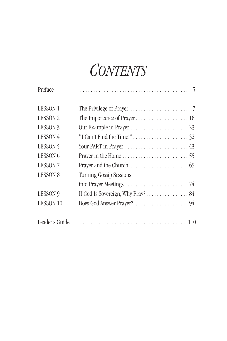## *Contents*

| Preface             |                                                                   |
|---------------------|-------------------------------------------------------------------|
| <b>LESSON 1</b>     |                                                                   |
| <b>LESSON 2</b>     |                                                                   |
| LESSON <sub>3</sub> |                                                                   |
| LESSON 4            |                                                                   |
| LESSON 5            | Your PART in Prayer $\dots\dots\dots\dots\dots\dots\dots\dots$ 43 |
| LESSON <sub>6</sub> |                                                                   |
| <b>LESSON 7</b>     |                                                                   |
| <b>LESSON 8</b>     | <b>Turning Gossip Sessions</b>                                    |
|                     |                                                                   |
| LESSON 9            | If God Is Sovereign, Why Pray? $\dots \dots \dots \dots \dots 84$ |
| <b>LESSON 10</b>    |                                                                   |
|                     |                                                                   |
| Leader's Guide      |                                                                   |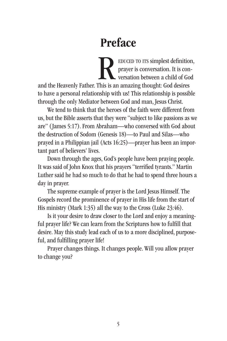## Preface

EDUCED TO ITS simplest definition, prayer is conversation. It is conversation between a child of God and the Heavenly Father. This is an amazing thought: God desires to have a personal relationship with us! This relationship is possible through the only Mediator between God and man, Jesus Christ. R

We tend to think that the heroes of the faith were different from us, but the Bible asserts that they were "subject to like passions as we are" (James 5:17). From Abraham—who conversed with God about the destruction of Sodom (Genesis 18)—to Paul and Silas—who prayed in a Philippian jail (Acts 16:25)—prayer has been an important part of believers' lives.

Down through the ages, God's people have been praying people. It was said of John Knox that his prayers "terrified tyrants." Martin Luther said he had so much to do that he had to spend three hours a day in prayer.

The supreme example of prayer is the Lord Jesus Himself. The Gospels record the prominence of prayer in His life from the start of His ministry (Mark 1:35) all the way to the Cross (Luke 23:46).

Is it your desire to draw closer to the Lord and enjoy a meaningful prayer life? We can learn from the Scriptures how to fulfill that desire. May this study lead each of us to a more disciplined, purposeful, and fulfilling prayer life!

Prayer changes things. It changes people. Will you allow prayer to change you?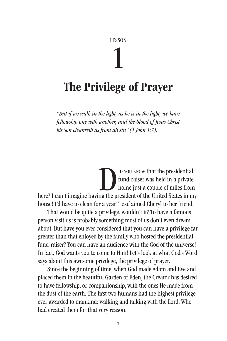#### LESSON

## 1

### The Privilege of Prayer

*"But if we walk in the light, as he is in the light, we have fellowship one with another, and the blood of Jesus Christ his Son cleanseth us from all sin" (1 John 1:7).*

id you know that the presidential fund-raiser was held in a private home just a couple of miles from D YOU KNOW that the presidential<br>fund-raiser was held in a private<br>home just a couple of miles from<br>here? I can't imagine having the president of the United States in my house! I'd have to clean for a year!" exclaimed Cheryl to her friend.

That would be quite a privilege, wouldn't it? To have a famous person visit us is probably something most of us don't even dream about. But have you ever considered that you can have a privilege far greater than that enjoyed by the family who hosted the presidential fund-raiser? You can have an audience with the God of the universe! In fact, God wants you to come to Him! Let's look at what God's Word says about this awesome privilege, the privilege of prayer.

Since the beginning of time, when God made Adam and Eve and placed them in the beautiful Garden of Eden, the Creator has desired to have fellowship, or companionship, with the ones He made from the dust of the earth. The first two humans had the highest privilege ever awarded to mankind: walking and talking with the Lord, Who had created them for that very reason.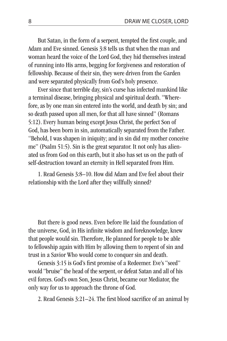But Satan, in the form of a serpent, tempted the first couple, and Adam and Eve sinned. Genesis 3:8 tells us that when the man and woman heard the voice of the Lord God, they hid themselves instead of running into His arms, begging for forgiveness and restoration of fellowship. Because of their sin, they were driven from the Garden and were separated physically from God's holy presence.

Ever since that terrible day, sin's curse has infected mankind like a terminal disease, bringing physical and spiritual death. "Wherefore, as by one man sin entered into the world, and death by sin; and so death passed upon all men, for that all have sinned" (Romans 5:12). Every human being except Jesus Christ, the perfect Son of God, has been born in sin, automatically separated from the Father. "Behold, I was shapen in iniquity; and in sin did my mother conceive me" (Psalm 51:5). Sin is the great separator. It not only has alienated us from God on this earth, but it also has set us on the path of self-destruction toward an eternity in Hell separated from Him.

1. Read Genesis 3:8–10. How did Adam and Eve feel about their relationship with the Lord after they willfully sinned?

But there is good news. Even before He laid the foundation of the universe, God, in His infinite wisdom and foreknowledge, knew that people would sin. Therefore, He planned for people to be able to fellowship again with Him by allowing them to repent of sin and trust in a Savior Who would come to conquer sin and death.

Genesis 3:15 is God's first promise of a Redeemer. Eve's "seed" would "bruise" the head of the serpent, or defeat Satan and all of his evil forces. God's own Son, Jesus Christ, became our Mediator, the only way for us to approach the throne of God.

2. Read Genesis 3:21–24. The first blood sacrifice of an animal by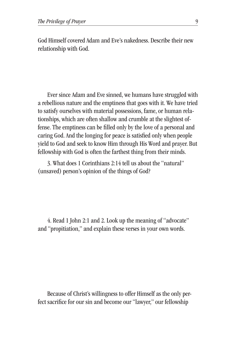God Himself covered Adam and Eve's nakedness. Describe their new relationship with God.

Ever since Adam and Eve sinned, we humans have struggled with a rebellious nature and the emptiness that goes with it. We have tried to satisfy ourselves with material possessions, fame, or human relationships, which are often shallow and crumble at the slightest offense. The emptiness can be filled only by the love of a personal and caring God. And the longing for peace is satisfied only when people yield to God and seek to know Him through His Word and prayer. But fellowship with God is often the farthest thing from their minds.

3. What does 1 Corinthians 2:14 tell us about the "natural" (unsaved) person's opinion of the things of God?

4. Read 1 John 2:1 and 2. Look up the meaning of "advocate" and "propitiation," and explain these verses in your own words.

Because of Christ's willingness to offer Himself as the only perfect sacrifice for our sin and become our "lawyer," our fellowship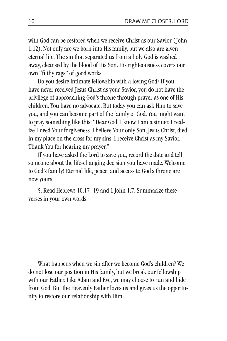with God can be restored when we receive Christ as our Savior (John 1:12). Not only are we born into His family, but we also are given eternal life. The sin that separated us from a holy God is washed away, cleansed by the blood of His Son. His righteousness covers our own "filthy rags" of good works.

Do you desire intimate fellowship with a loving God? If you have never received Jesus Christ as your Savior, you do not have the privilege of approaching God's throne through prayer as one of His children. You have no advocate. But today you can ask Him to save you, and you can become part of the family of God. You might want to pray something like this: "Dear God, I know I am a sinner. I realize I need Your forgiveness. I believe Your only Son, Jesus Christ, died in my place on the cross for my sins. I receive Christ as my Savior. Thank You for hearing my prayer."

If you have asked the Lord to save you, record the date and tell someone about the life-changing decision you have made. Welcome to God's family! Eternal life, peace, and access to God's throne are now yours.

5. Read Hebrews 10:17–19 and 1 John 1:7. Summarize these verses in your own words.

What happens when we sin after we become God's children? We do not lose our position in His family, but we break our fellowship with our Father. Like Adam and Eve, we may choose to run and hide from God. But the Heavenly Father loves us and gives us the opportunity to restore our relationship with Him.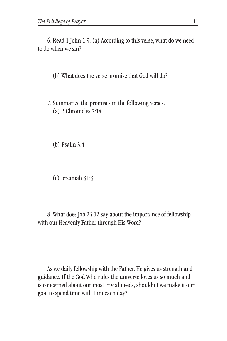6. Read 1 John 1:9. (a) According to this verse, what do we need to do when we sin?

(b) What does the verse promise that God will do?

7. Summarize the promises in the following verses. (a) 2 Chronicles 7:14

(b) Psalm 3:4

(c) Jeremiah 31:3

8. What does Job 23:12 say about the importance of fellowship with our Heavenly Father through His Word?

As we daily fellowship with the Father, He gives us strength and guidance. If the God Who rules the universe loves us so much and is concerned about our most trivial needs, shouldn't we make it our goal to spend time with Him each day?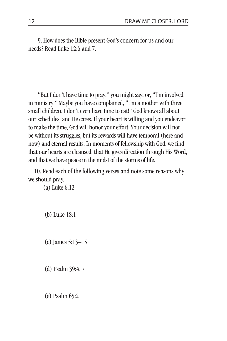9. How does the Bible present God's concern for us and our needs? Read Luke 12:6 and 7.

"But I don't have time to pray," you might say; or, "I'm involved in ministry." Maybe you have complained, "I'm a mother with three small children. I don't even have time to eat!" God knows all about our schedules, and He cares. If your heart is willing and you endeavor to make the time, God will honor your effort. Your decision will not be without its struggles; but its rewards will have temporal (here and now) and eternal results. In moments of fellowship with God, we find that our hearts are cleansed, that He gives direction through His Word, and that we have peace in the midst of the storms of life.

10. Read each of the following verses and note some reasons why we should pray.

(a) Luke 6:12

(b) Luke 18:1

(c) James 5:13–15

(d) Psalm 39:4, 7

(e) Psalm 65:2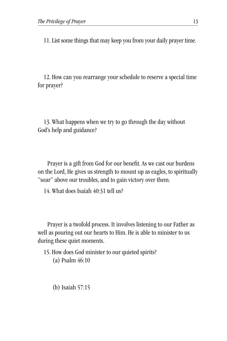11. List some things that may keep you from your daily prayer time.

12. How can you rearrange your schedule to reserve a special time for prayer?

13. What happens when we try to go through the day without God's help and guidance?

Prayer is a gift from God for our benefit. As we cast our burdens on the Lord, He gives us strength to mount up as eagles, to spiritually "soar" above our troubles, and to gain victory over them.

14. What does Isaiah 40:31 tell us?

Prayer is a twofold process. It involves listening to our Father as well as pouring out our hearts to Him. He is able to minister to us during these quiet moments.

15. How does God minister to our quieted spirits? (a) Psalm 46:10

(b) Isaiah 57:15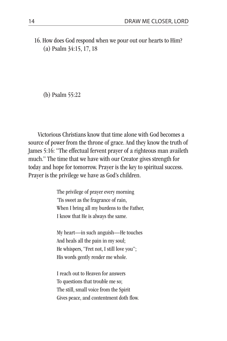16. How does God respond when we pour out our hearts to Him? (a) Psalm 34:15, 17, 18

(b) Psalm 55:22

Victorious Christians know that time alone with God becomes a source of power from the throne of grace. And they know the truth of James 5:16: "The effectual fervent prayer of a righteous man availeth much." The time that we have with our Creator gives strength for today and hope for tomorrow. Prayer is the key to spiritual success. Prayer is the privilege we have as God's children.

> The privilege of prayer every morning 'Tis sweet as the fragrance of rain, When I bring all my burdens to the Father, I know that He is always the same.

My heart—in such anguish—He touches And heals all the pain in my soul; He whispers, "Fret not, I still love you"; His words gently render me whole.

I reach out to Heaven for answers To questions that trouble me so; The still, small voice from the Spirit Gives peace, and contentment doth flow.